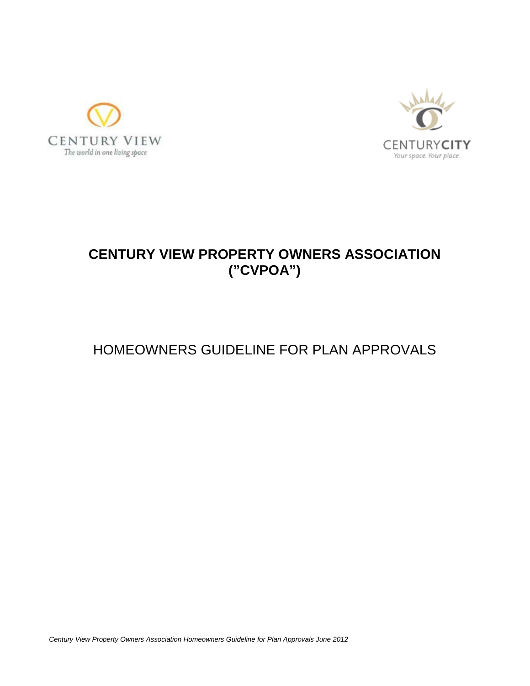



# **CENTURY VIEW PROPERTY OWNERS ASSOCIATION ("CVPOA")**

# HOMEOWNERS GUIDELINE FOR PLAN APPROVALS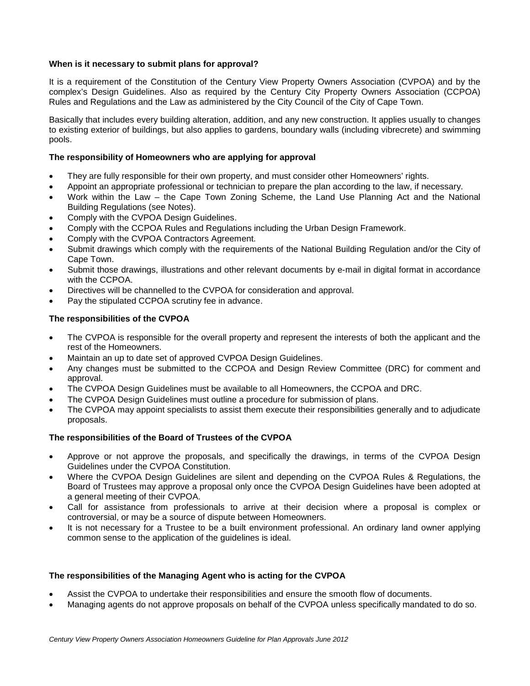# **When is it necessary to submit plans for approval?**

It is a requirement of the Constitution of the Century View Property Owners Association (CVPOA) and by the complex's Design Guidelines. Also as required by the Century City Property Owners Association (CCPOA) Rules and Regulations and the Law as administered by the City Council of the City of Cape Town.

Basically that includes every building alteration, addition, and any new construction. It applies usually to changes to existing exterior of buildings, but also applies to gardens, boundary walls (including vibrecrete) and swimming pools.

# **The responsibility of Homeowners who are applying for approval**

- They are fully responsible for their own property, and must consider other Homeowners' rights.
- Appoint an appropriate professional or technician to prepare the plan according to the law, if necessary.
- Work within the Law the Cape Town Zoning Scheme, the Land Use Planning Act and the National Building Regulations (see Notes).
- Comply with the CVPOA Design Guidelines.
- Comply with the CCPOA Rules and Regulations including the Urban Design Framework.
- Comply with the CVPOA Contractors Agreement.
- Submit drawings which comply with the requirements of the National Building Regulation and/or the City of Cape Town.
- Submit those drawings, illustrations and other relevant documents by e-mail in digital format in accordance with the CCPOA.
- Directives will be channelled to the CVPOA for consideration and approval.
- Pay the stipulated CCPOA scrutiny fee in advance.

# **The responsibilities of the CVPOA**

- The CVPOA is responsible for the overall property and represent the interests of both the applicant and the rest of the Homeowners.
- Maintain an up to date set of approved CVPOA Design Guidelines.
- Any changes must be submitted to the CCPOA and Design Review Committee (DRC) for comment and approval.
- The CVPOA Design Guidelines must be available to all Homeowners, the CCPOA and DRC.
- The CVPOA Design Guidelines must outline a procedure for submission of plans.
- The CVPOA may appoint specialists to assist them execute their responsibilities generally and to adjudicate proposals.

# **The responsibilities of the Board of Trustees of the CVPOA**

- Approve or not approve the proposals, and specifically the drawings, in terms of the CVPOA Design Guidelines under the CVPOA Constitution.
- Where the CVPOA Design Guidelines are silent and depending on the CVPOA Rules & Regulations, the Board of Trustees may approve a proposal only once the CVPOA Design Guidelines have been adopted at a general meeting of their CVPOA.
- Call for assistance from professionals to arrive at their decision where a proposal is complex or controversial, or may be a source of dispute between Homeowners.
- It is not necessary for a Trustee to be a built environment professional. An ordinary land owner applying common sense to the application of the guidelines is ideal.

# **The responsibilities of the Managing Agent who is acting for the CVPOA**

- Assist the CVPOA to undertake their responsibilities and ensure the smooth flow of documents.
- Managing agents do not approve proposals on behalf of the CVPOA unless specifically mandated to do so.